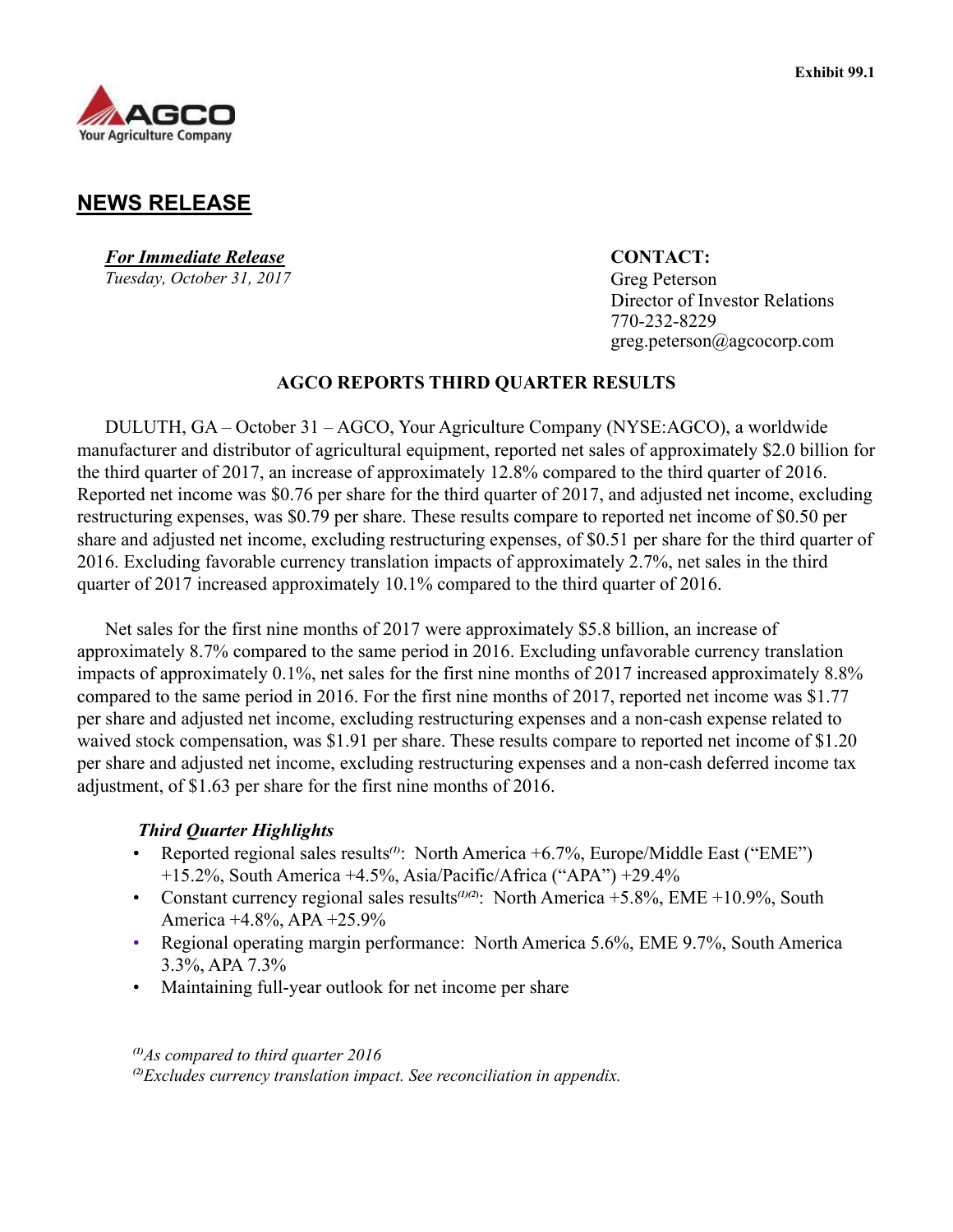

# **NEWS RELEASE**

*For Immediate Release* **CONTACT:** *Tuesday, October 31, 2017* Greg Peterson

Director of Investor Relations 770-232-8229 greg.peterson@agcocorp.com

## **AGCO REPORTS THIRD QUARTER RESULTS**

DULUTH, GA – October 31 – AGCO, Your Agriculture Company (NYSE:AGCO), a worldwide manufacturer and distributor of agricultural equipment, reported net sales of approximately \$2.0 billion for the third quarter of 2017, an increase of approximately 12.8% compared to the third quarter of 2016. Reported net income was \$0.76 per share for the third quarter of 2017, and adjusted net income, excluding restructuring expenses, was \$0.79 per share. These results compare to reported net income of \$0.50 per share and adjusted net income, excluding restructuring expenses, of \$0.51 per share for the third quarter of 2016. Excluding favorable currency translation impacts of approximately 2.7%, net sales in the third quarter of 2017 increased approximately 10.1% compared to the third quarter of 2016.

Net sales for the first nine months of 2017 were approximately \$5.8 billion, an increase of approximately 8.7% compared to the same period in 2016. Excluding unfavorable currency translation impacts of approximately 0.1%, net sales for the first nine months of 2017 increased approximately 8.8% compared to the same period in 2016. For the first nine months of 2017, reported net income was \$1.77 per share and adjusted net income, excluding restructuring expenses and a non-cash expense related to waived stock compensation, was \$1.91 per share. These results compare to reported net income of \$1.20 per share and adjusted net income, excluding restructuring expenses and a non-cash deferred income tax adjustment, of \$1.63 per share for the first nine months of 2016.

## *Third Quarter Highlights*

- Reported regional sales results*(1)*: North America +6.7%, Europe/Middle East ("EME") +15.2%, South America +4.5%, Asia/Pacific/Africa ("APA") +29.4%
- Constant currency regional sales results*(1)(2***)** : North America +5.8%, EME +10.9%, South America +4.8%, APA +25.9%
- Regional operating margin performance: North America 5.6%, EME 9.7%, South America 3.3%, APA 7.3%
- Maintaining full-year outlook for net income per share

*(1)As compared to third quarter 2016*

*(2)Excludes currency translation impact. See reconciliation in appendix.*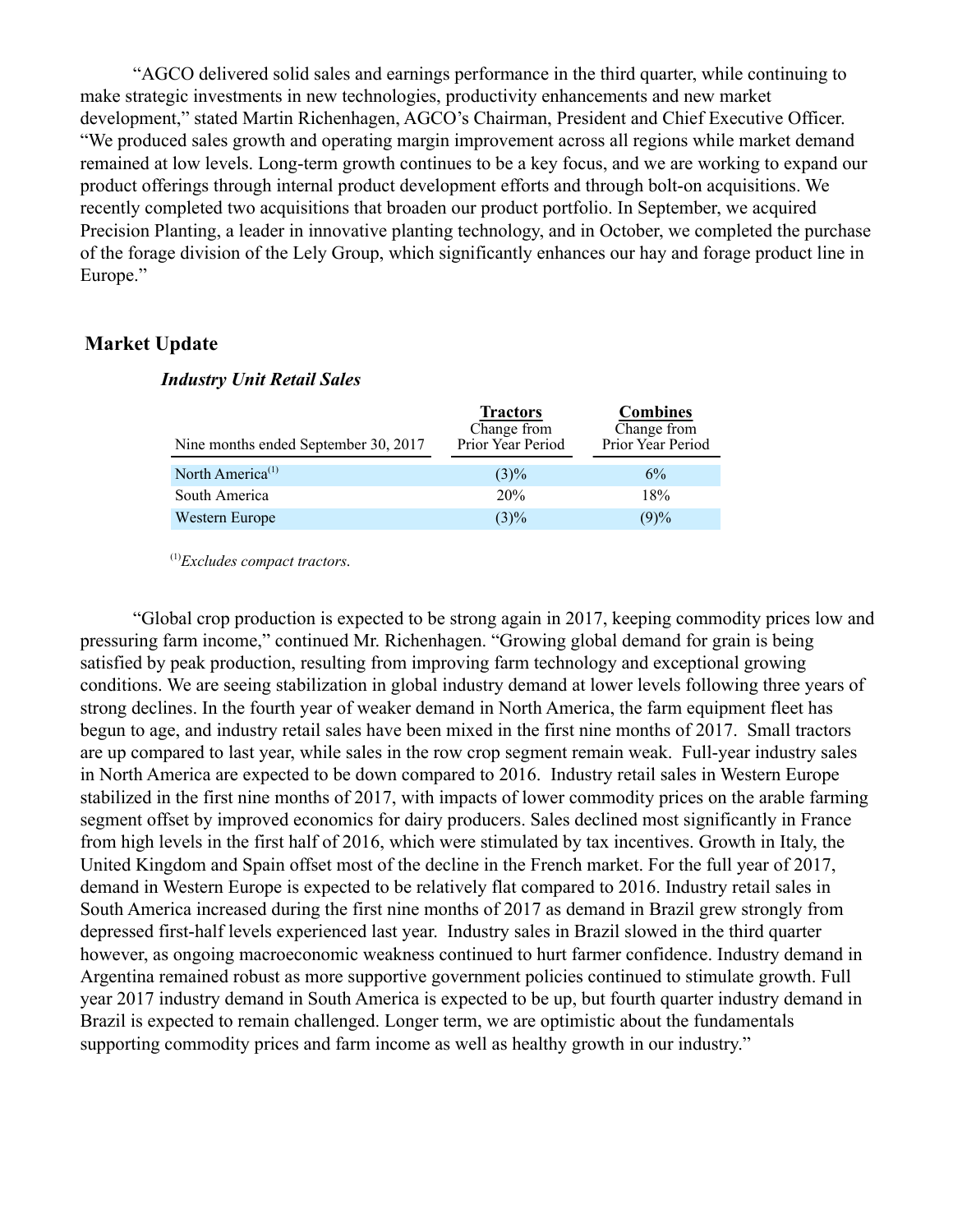"AGCO delivered solid sales and earnings performance in the third quarter, while continuing to make strategic investments in new technologies, productivity enhancements and new market development," stated Martin Richenhagen, AGCO's Chairman, President and Chief Executive Officer. "We produced sales growth and operating margin improvement across all regions while market demand remained at low levels. Long-term growth continues to be a key focus, and we are working to expand our product offerings through internal product development efforts and through bolt-on acquisitions. We recently completed two acquisitions that broaden our product portfolio. In September, we acquired Precision Planting, a leader in innovative planting technology, and in October, we completed the purchase of the forage division of the Lely Group, which significantly enhances our hay and forage product line in Europe."

## **Market Update**

| Nine months ended September 30, 2017 | <b>Tractors</b><br>Change from<br>Prior Year Period | <b>Combines</b><br>Change from<br>Prior Year Period |
|--------------------------------------|-----------------------------------------------------|-----------------------------------------------------|
| North America <sup>(1)</sup>         | $(3)\%$                                             | 6%                                                  |
| South America                        | 20%                                                 | 18%                                                 |
| Western Europe                       | $(3)\%$                                             | (9)%                                                |

## *Industry Unit Retail Sales*

(1)*Excludes compact tractors.* 

"Global crop production is expected to be strong again in 2017, keeping commodity prices low and pressuring farm income," continued Mr. Richenhagen. "Growing global demand for grain is being satisfied by peak production, resulting from improving farm technology and exceptional growing conditions. We are seeing stabilization in global industry demand at lower levels following three years of strong declines. In the fourth year of weaker demand in North America, the farm equipment fleet has begun to age, and industry retail sales have been mixed in the first nine months of 2017. Small tractors are up compared to last year, while sales in the row crop segment remain weak. Full-year industry sales in North America are expected to be down compared to 2016. Industry retail sales in Western Europe stabilized in the first nine months of 2017, with impacts of lower commodity prices on the arable farming segment offset by improved economics for dairy producers. Sales declined most significantly in France from high levels in the first half of 2016, which were stimulated by tax incentives. Growth in Italy, the United Kingdom and Spain offset most of the decline in the French market. For the full year of 2017, demand in Western Europe is expected to be relatively flat compared to 2016. Industry retail sales in South America increased during the first nine months of 2017 as demand in Brazil grew strongly from depressed first-half levels experienced last year. Industry sales in Brazil slowed in the third quarter however, as ongoing macroeconomic weakness continued to hurt farmer confidence. Industry demand in Argentina remained robust as more supportive government policies continued to stimulate growth. Full year 2017 industry demand in South America is expected to be up, but fourth quarter industry demand in Brazil is expected to remain challenged. Longer term, we are optimistic about the fundamentals supporting commodity prices and farm income as well as healthy growth in our industry."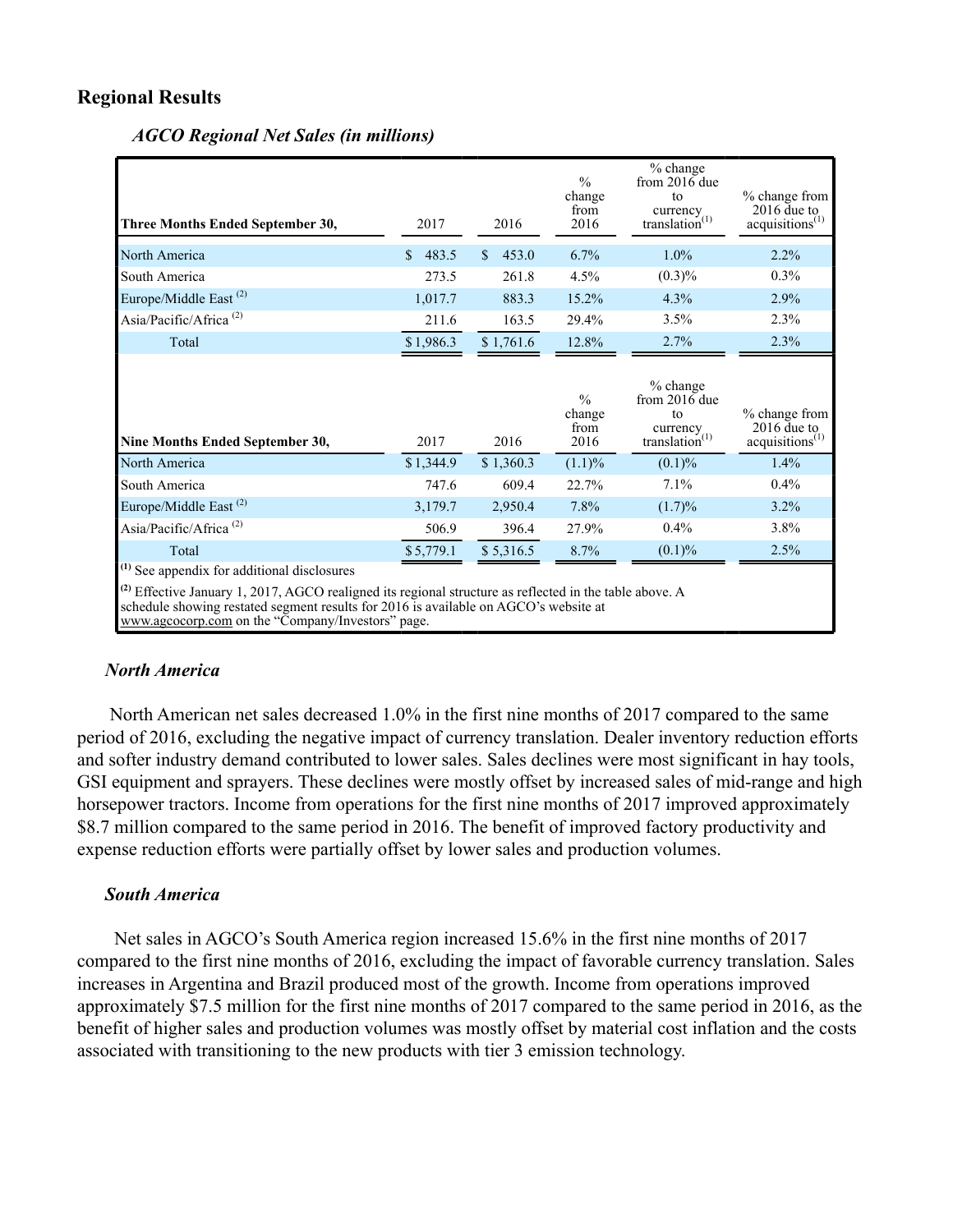# **Regional Results**

| Three Months Ended September 30,                                                                                                                                                                                                                                                                                    | 2017         | 2016                  | $\frac{0}{0}$<br>change<br>from<br>2016 | % change<br>from $2016$ due<br>to<br>currency<br>translation $^{(1)}$ | % change from<br>$2016$ due to<br>acquisitions <sup>(1)</sup> |
|---------------------------------------------------------------------------------------------------------------------------------------------------------------------------------------------------------------------------------------------------------------------------------------------------------------------|--------------|-----------------------|-----------------------------------------|-----------------------------------------------------------------------|---------------------------------------------------------------|
| North America                                                                                                                                                                                                                                                                                                       | 483.5<br>\$. | 453.0<br>$\mathbb{S}$ | 6.7%                                    | 1.0%                                                                  | $2.2\%$                                                       |
| South America                                                                                                                                                                                                                                                                                                       | 273.5        | 261.8                 | 4.5%                                    | $(0.3)\%$                                                             | $0.3\%$                                                       |
| Europe/Middle East <sup>(2)</sup>                                                                                                                                                                                                                                                                                   | 1,017.7      | 883.3                 | 15.2%                                   | 4.3%                                                                  | 2.9%                                                          |
| Asia/Pacific/Africa <sup>(2)</sup>                                                                                                                                                                                                                                                                                  | 211.6        | 163.5                 | 29.4%                                   | 3.5%                                                                  | 2.3%                                                          |
| Total                                                                                                                                                                                                                                                                                                               | \$1,986.3    | \$1,761.6             | 12.8%                                   | 2.7%                                                                  | 2.3%                                                          |
| Nine Months Ended September 30,                                                                                                                                                                                                                                                                                     | 2017         | 2016                  | $\frac{0}{0}$<br>change<br>from<br>2016 | % change<br>from $2016$ due<br>to<br>currency<br>translation $(1)$    | % change from<br>$2016$ due to<br>acquisitions <sup>(1)</sup> |
| North America                                                                                                                                                                                                                                                                                                       | \$1,344.9    | \$1,360.3             | $(1.1)\%$                               | $(0.1)\%$                                                             | 1.4%                                                          |
| South America                                                                                                                                                                                                                                                                                                       | 747.6        | 609.4                 | 22.7%                                   | 7.1%                                                                  | 0.4%                                                          |
| Europe/Middle East <sup>(2)</sup>                                                                                                                                                                                                                                                                                   | 3,179.7      | 2,950.4               | 7.8%                                    | $(1.7)\%$                                                             | 3.2%                                                          |
| Asia/Pacific/Africa <sup>(2)</sup>                                                                                                                                                                                                                                                                                  | 506.9        | 396.4                 | 27.9%                                   | 0.4%                                                                  | 3.8%                                                          |
| Total                                                                                                                                                                                                                                                                                                               | \$5,779.1    | \$5,316.5             | 8.7%                                    | (0.1)%                                                                | 2.5%                                                          |
| <sup>(1)</sup> See appendix for additional disclosures<br>$^{(2)}$ Effective January 1, 2017, AGCO realigned its regional structure as reflected in the table above. A<br>schedule showing restated segment results for 2016 is available on AGCO's website at<br>www.agcocorp.com on the "Company/Investors" page. |              |                       |                                         |                                                                       |                                                               |

## *AGCO Regional Net Sales (in millions)*

## *North America*

 North American net sales decreased 1.0% in the first nine months of 2017 compared to the same period of 2016, excluding the negative impact of currency translation. Dealer inventory reduction efforts and softer industry demand contributed to lower sales. Sales declines were most significant in hay tools, GSI equipment and sprayers. These declines were mostly offset by increased sales of mid-range and high horsepower tractors. Income from operations for the first nine months of 2017 improved approximately \$8.7 million compared to the same period in 2016. The benefit of improved factory productivity and expense reduction efforts were partially offset by lower sales and production volumes.

## *South America*

 Net sales in AGCO's South America region increased 15.6% in the first nine months of 2017 compared to the first nine months of 2016, excluding the impact of favorable currency translation. Sales increases in Argentina and Brazil produced most of the growth. Income from operations improved approximately \$7.5 million for the first nine months of 2017 compared to the same period in 2016, as the benefit of higher sales and production volumes was mostly offset by material cost inflation and the costs associated with transitioning to the new products with tier 3 emission technology.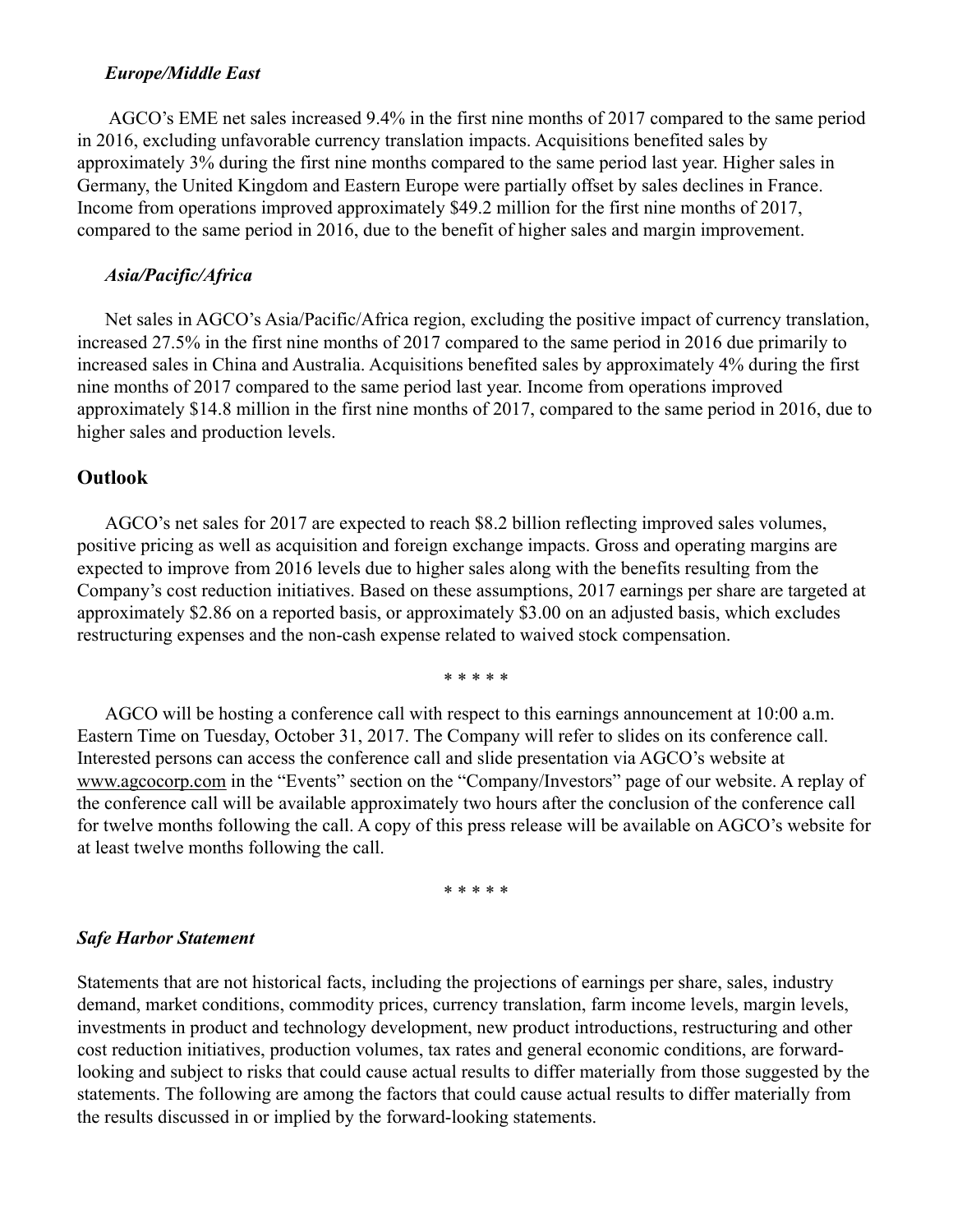### *Europe/Middle East*

AGCO's EME net sales increased 9.4% in the first nine months of 2017 compared to the same period in 2016, excluding unfavorable currency translation impacts. Acquisitions benefited sales by approximately 3% during the first nine months compared to the same period last year. Higher sales in Germany, the United Kingdom and Eastern Europe were partially offset by sales declines in France. Income from operations improved approximately \$49.2 million for the first nine months of 2017, compared to the same period in 2016, due to the benefit of higher sales and margin improvement.

## *Asia/Pacific/Africa*

Net sales in AGCO's Asia/Pacific/Africa region, excluding the positive impact of currency translation, increased 27.5% in the first nine months of 2017 compared to the same period in 2016 due primarily to increased sales in China and Australia. Acquisitions benefited sales by approximately 4% during the first nine months of 2017 compared to the same period last year. Income from operations improved approximately \$14.8 million in the first nine months of 2017, compared to the same period in 2016, due to higher sales and production levels.

## **Outlook**

AGCO's net sales for 2017 are expected to reach \$8.2 billion reflecting improved sales volumes, positive pricing as well as acquisition and foreign exchange impacts. Gross and operating margins are expected to improve from 2016 levels due to higher sales along with the benefits resulting from the Company's cost reduction initiatives. Based on these assumptions, 2017 earnings per share are targeted at approximately \$2.86 on a reported basis, or approximately \$3.00 on an adjusted basis, which excludes restructuring expenses and the non-cash expense related to waived stock compensation.

\* \* \* \* \*

AGCO will be hosting a conference call with respect to this earnings announcement at 10:00 a.m. Eastern Time on Tuesday, October 31, 2017. The Company will refer to slides on its conference call. Interested persons can access the conference call and slide presentation via AGCO's website at www.agcocorp.com in the "Events" section on the "Company/Investors" page of our website. A replay of the conference call will be available approximately two hours after the conclusion of the conference call for twelve months following the call. A copy of this press release will be available on AGCO's website for at least twelve months following the call.

\* \* \* \* \*

### *Safe Harbor Statement*

Statements that are not historical facts, including the projections of earnings per share, sales, industry demand, market conditions, commodity prices, currency translation, farm income levels, margin levels, investments in product and technology development, new product introductions, restructuring and other cost reduction initiatives, production volumes, tax rates and general economic conditions, are forwardlooking and subject to risks that could cause actual results to differ materially from those suggested by the statements. The following are among the factors that could cause actual results to differ materially from the results discussed in or implied by the forward-looking statements.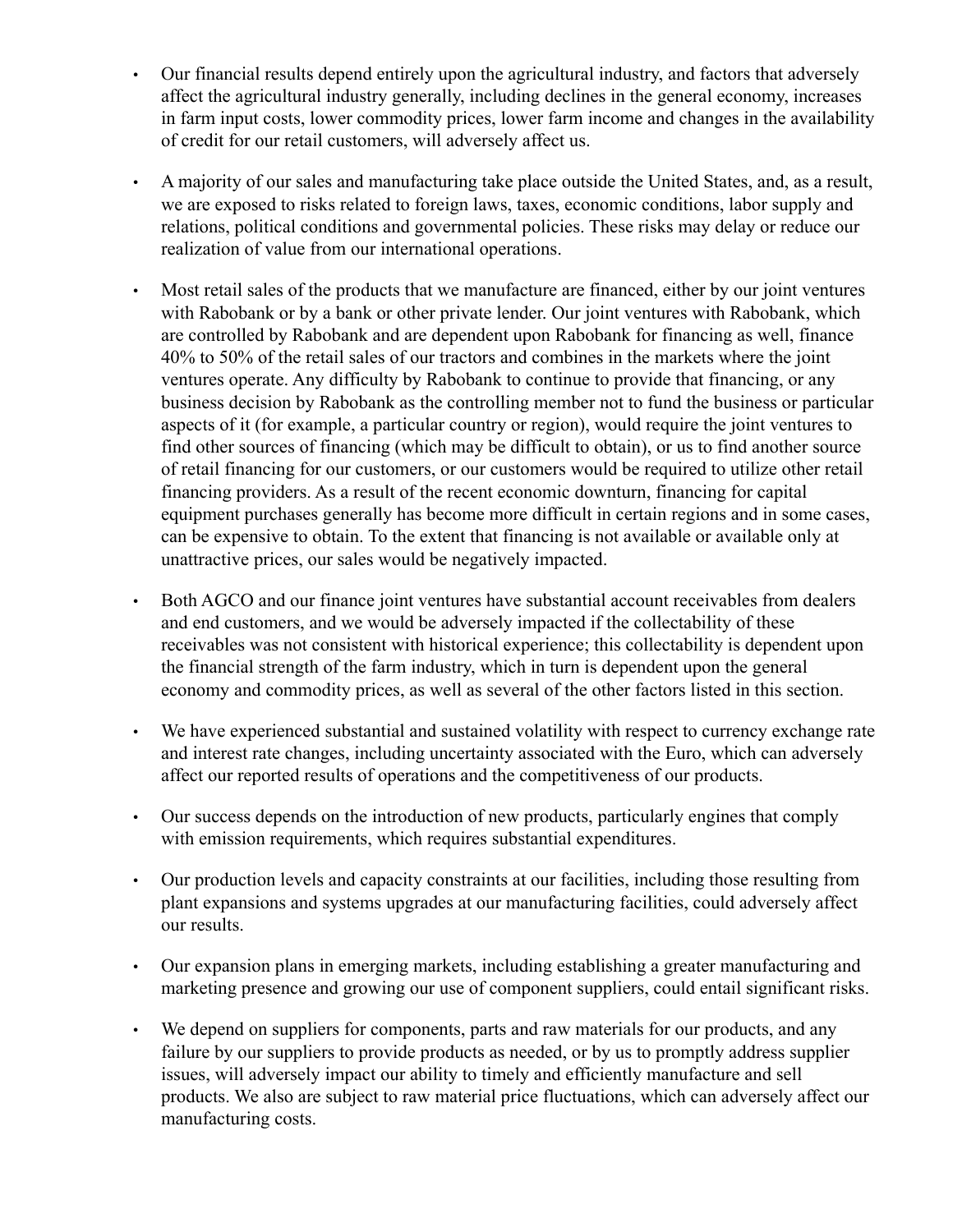- Our financial results depend entirely upon the agricultural industry, and factors that adversely affect the agricultural industry generally, including declines in the general economy, increases in farm input costs, lower commodity prices, lower farm income and changes in the availability of credit for our retail customers, will adversely affect us.
- A majority of our sales and manufacturing take place outside the United States, and, as a result, we are exposed to risks related to foreign laws, taxes, economic conditions, labor supply and relations, political conditions and governmental policies. These risks may delay or reduce our realization of value from our international operations.
- Most retail sales of the products that we manufacture are financed, either by our joint ventures with Rabobank or by a bank or other private lender. Our joint ventures with Rabobank, which are controlled by Rabobank and are dependent upon Rabobank for financing as well, finance 40% to 50% of the retail sales of our tractors and combines in the markets where the joint ventures operate. Any difficulty by Rabobank to continue to provide that financing, or any business decision by Rabobank as the controlling member not to fund the business or particular aspects of it (for example, a particular country or region), would require the joint ventures to find other sources of financing (which may be difficult to obtain), or us to find another source of retail financing for our customers, or our customers would be required to utilize other retail financing providers. As a result of the recent economic downturn, financing for capital equipment purchases generally has become more difficult in certain regions and in some cases, can be expensive to obtain. To the extent that financing is not available or available only at unattractive prices, our sales would be negatively impacted.
- Both AGCO and our finance joint ventures have substantial account receivables from dealers and end customers, and we would be adversely impacted if the collectability of these receivables was not consistent with historical experience; this collectability is dependent upon the financial strength of the farm industry, which in turn is dependent upon the general economy and commodity prices, as well as several of the other factors listed in this section.
- We have experienced substantial and sustained volatility with respect to currency exchange rate and interest rate changes, including uncertainty associated with the Euro, which can adversely affect our reported results of operations and the competitiveness of our products.
- Our success depends on the introduction of new products, particularly engines that comply with emission requirements, which requires substantial expenditures.
- Our production levels and capacity constraints at our facilities, including those resulting from plant expansions and systems upgrades at our manufacturing facilities, could adversely affect our results.
- Our expansion plans in emerging markets, including establishing a greater manufacturing and marketing presence and growing our use of component suppliers, could entail significant risks.
- We depend on suppliers for components, parts and raw materials for our products, and any failure by our suppliers to provide products as needed, or by us to promptly address supplier issues, will adversely impact our ability to timely and efficiently manufacture and sell products. We also are subject to raw material price fluctuations, which can adversely affect our manufacturing costs.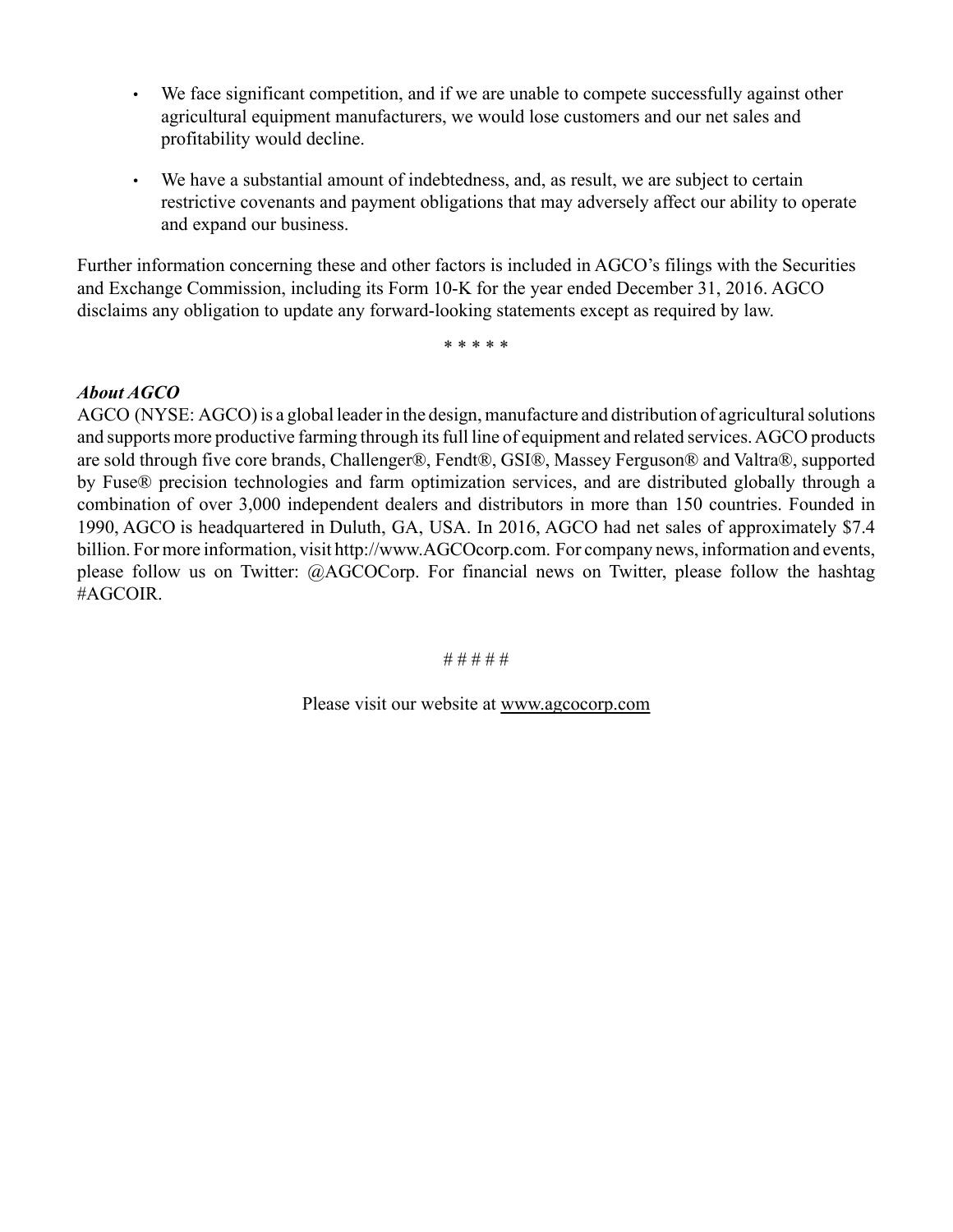- We face significant competition, and if we are unable to compete successfully against other agricultural equipment manufacturers, we would lose customers and our net sales and profitability would decline.
- We have a substantial amount of indebtedness, and, as result, we are subject to certain restrictive covenants and payment obligations that may adversely affect our ability to operate and expand our business.

Further information concerning these and other factors is included in AGCO's filings with the Securities and Exchange Commission, including its Form 10-K for the year ended December 31, 2016. AGCO disclaims any obligation to update any forward-looking statements except as required by law.

\* \* \* \* \*

## *About AGCO*

AGCO (NYSE: AGCO) is a global leader in the design, manufacture and distribution of agricultural solutions and supports more productive farming through its full line of equipment and related services. AGCO products are sold through five core brands, Challenger®, Fendt®, GSI®, Massey Ferguson® and Valtra®, supported by Fuse® precision technologies and farm optimization services, and are distributed globally through a combination of over 3,000 independent dealers and distributors in more than 150 countries. Founded in 1990, AGCO is headquartered in Duluth, GA, USA. In 2016, AGCO had net sales of approximately \$7.4 billion. For more information, visit http://www.AGCOcorp.com. For company news, information and events, please follow us on Twitter: @AGCOCorp. For financial news on Twitter, please follow the hashtag #AGCOIR.

# # # # #

Please visit our website at www.agcocorp.com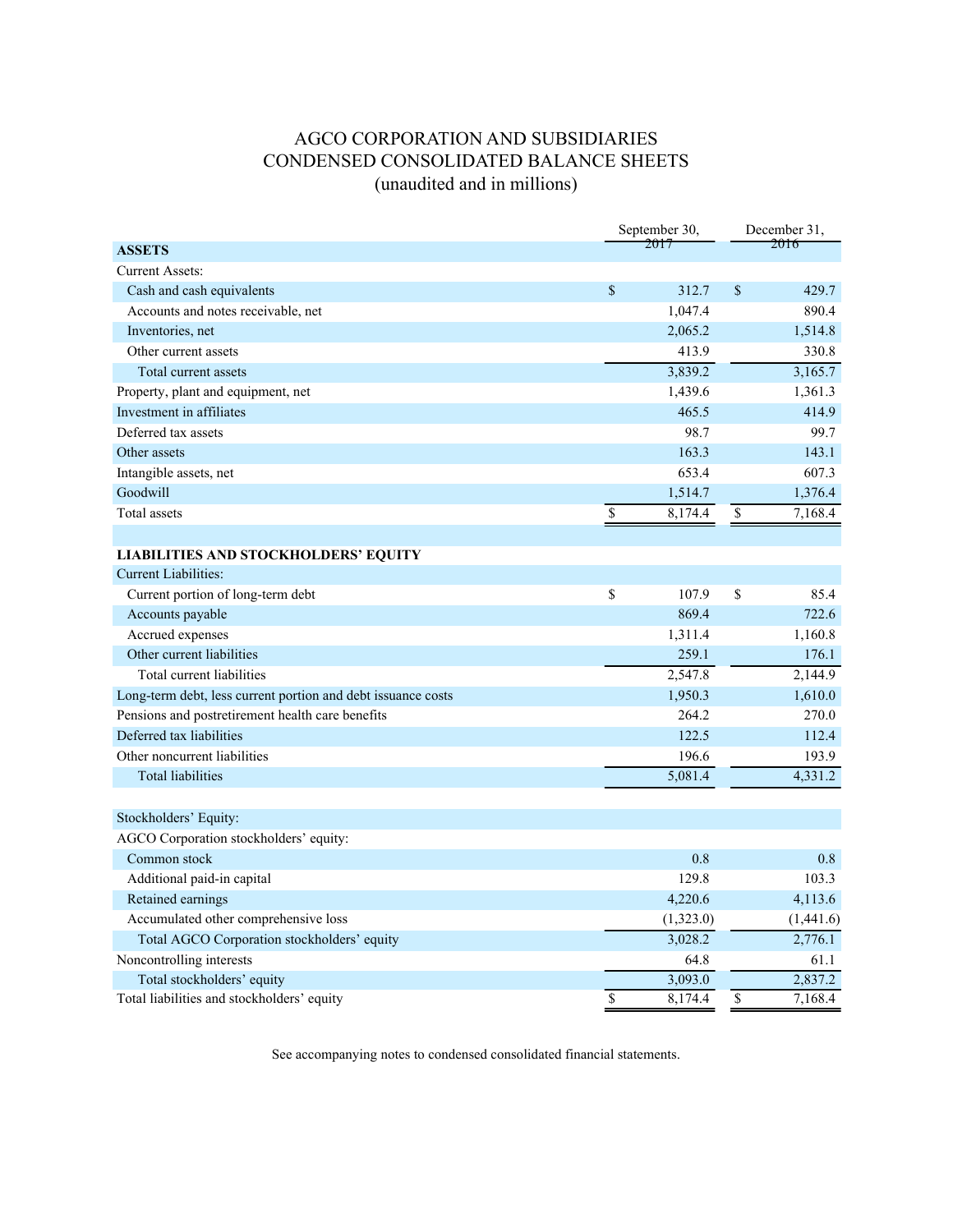# AGCO CORPORATION AND SUBSIDIARIES CONDENSED CONSOLIDATED BALANCE SHEETS (unaudited and in millions)

|                                                              |                         | September 30, | December 31,<br>2016     |           |  |
|--------------------------------------------------------------|-------------------------|---------------|--------------------------|-----------|--|
| <b>ASSETS</b>                                                |                         | 2017          |                          |           |  |
| Current Assets:                                              |                         |               |                          |           |  |
| Cash and cash equivalents                                    | \$                      | 312.7         | $\mathbf S$              | 429.7     |  |
| Accounts and notes receivable, net                           |                         | 1,047.4       |                          | 890.4     |  |
| Inventories, net                                             |                         | 2,065.2       |                          | 1,514.8   |  |
| Other current assets                                         |                         | 413.9         |                          | 330.8     |  |
| Total current assets                                         |                         | 3,839.2       |                          | 3,165.7   |  |
| Property, plant and equipment, net                           |                         | 1,439.6       |                          | 1,361.3   |  |
| Investment in affiliates                                     |                         | 465.5         |                          | 414.9     |  |
| Deferred tax assets                                          |                         | 98.7          |                          | 99.7      |  |
| Other assets                                                 |                         | 163.3         |                          | 143.1     |  |
| Intangible assets, net                                       |                         | 653.4         |                          | 607.3     |  |
| Goodwill                                                     |                         | 1,514.7       |                          | 1,376.4   |  |
| Total assets                                                 | $\overline{\mathbb{S}}$ | 8,174.4       | $\overline{\mathcal{S}}$ | 7,168.4   |  |
|                                                              |                         |               |                          |           |  |
| <b>LIABILITIES AND STOCKHOLDERS' EQUITY</b>                  |                         |               |                          |           |  |
| <b>Current Liabilities:</b>                                  |                         |               |                          |           |  |
| Current portion of long-term debt                            | \$                      | 107.9         | \$                       | 85.4      |  |
| Accounts payable                                             |                         | 869.4         |                          | 722.6     |  |
| Accrued expenses                                             |                         | 1,311.4       |                          | 1,160.8   |  |
| Other current liabilities                                    |                         | 259.1         |                          | 176.1     |  |
| Total current liabilities                                    |                         | 2,547.8       |                          | 2,144.9   |  |
| Long-term debt, less current portion and debt issuance costs |                         | 1,950.3       |                          | 1,610.0   |  |
| Pensions and postretirement health care benefits             |                         | 264.2         |                          | 270.0     |  |
| Deferred tax liabilities                                     |                         | 122.5         |                          | 112.4     |  |
| Other noncurrent liabilities                                 |                         | 196.6         |                          | 193.9     |  |
| <b>Total liabilities</b>                                     |                         | 5,081.4       |                          | 4,331.2   |  |
|                                                              |                         |               |                          |           |  |
| Stockholders' Equity:                                        |                         |               |                          |           |  |
| AGCO Corporation stockholders' equity:                       |                         |               |                          |           |  |
| Common stock                                                 |                         | 0.8           |                          | 0.8       |  |
| Additional paid-in capital                                   |                         | 129.8         |                          | 103.3     |  |
| Retained earnings                                            |                         | 4,220.6       |                          | 4,113.6   |  |
| Accumulated other comprehensive loss                         |                         | (1,323.0)     |                          | (1,441.6) |  |
| Total AGCO Corporation stockholders' equity                  |                         | 3,028.2       |                          | 2,776.1   |  |
| Noncontrolling interests                                     |                         | 64.8          |                          | 61.1      |  |
| Total stockholders' equity                                   |                         | 3,093.0       |                          | 2,837.2   |  |
| Total liabilities and stockholders' equity                   | \$                      | 8,174.4       | $\mathbb{S}$             | 7,168.4   |  |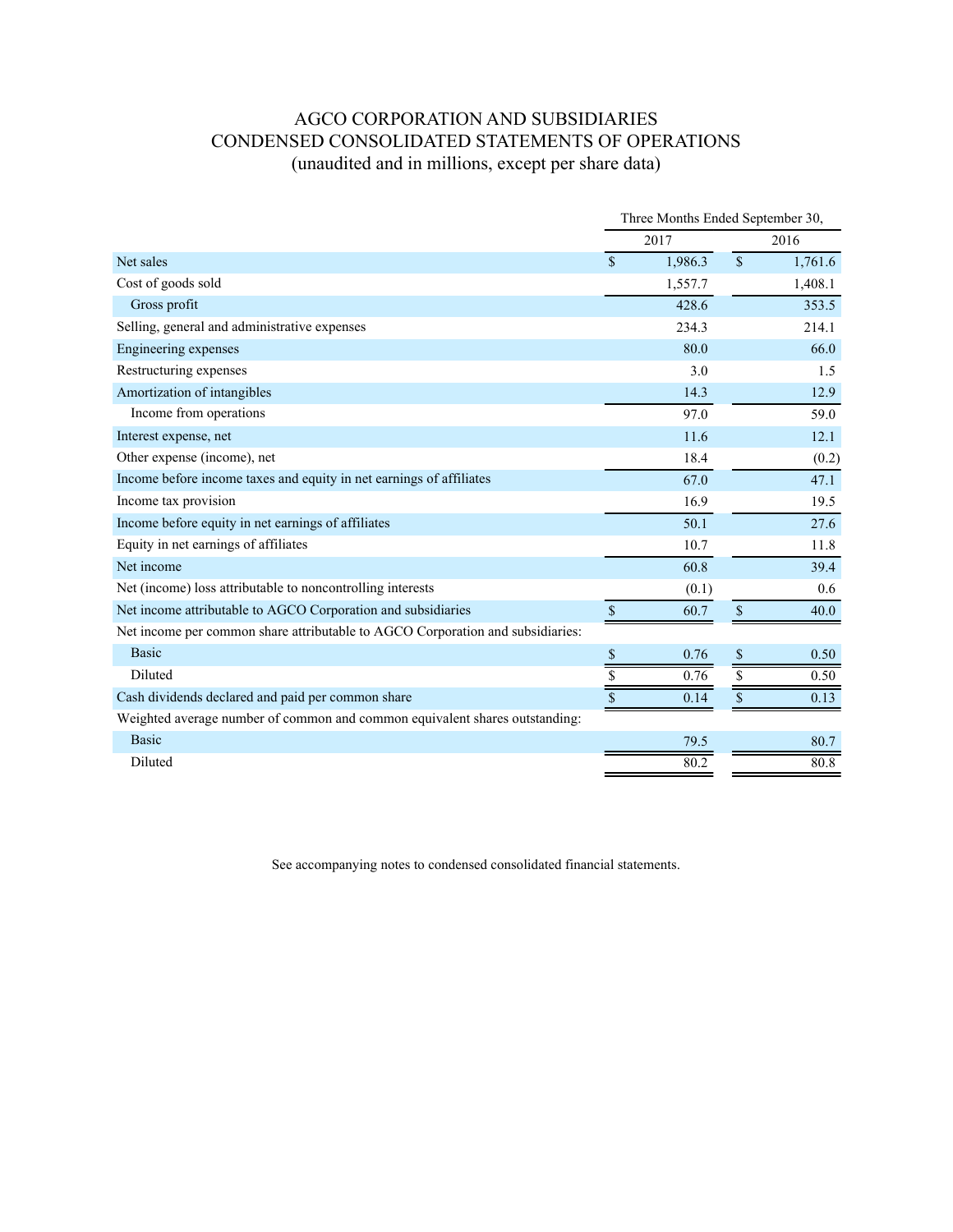# AGCO CORPORATION AND SUBSIDIARIES CONDENSED CONSOLIDATED STATEMENTS OF OPERATIONS (unaudited and in millions, except per share data)

|                                                                                |             |         | Three Months Ended September 30, |         |  |
|--------------------------------------------------------------------------------|-------------|---------|----------------------------------|---------|--|
|                                                                                |             | 2017    |                                  | 2016    |  |
| Net sales                                                                      | $\mathbf S$ | 1,986.3 | $\mathbf S$                      | 1,761.6 |  |
| Cost of goods sold                                                             |             | 1,557.7 |                                  | 1,408.1 |  |
| Gross profit                                                                   |             | 428.6   |                                  | 353.5   |  |
| Selling, general and administrative expenses                                   |             | 234.3   |                                  | 214.1   |  |
| Engineering expenses                                                           |             | 80.0    |                                  | 66.0    |  |
| Restructuring expenses                                                         |             | 3.0     |                                  | 1.5     |  |
| Amortization of intangibles                                                    |             | 14.3    |                                  | 12.9    |  |
| Income from operations                                                         |             | 97.0    |                                  | 59.0    |  |
| Interest expense, net                                                          |             | 11.6    |                                  | 12.1    |  |
| Other expense (income), net                                                    |             | 18.4    |                                  | (0.2)   |  |
| Income before income taxes and equity in net earnings of affiliates            |             | 67.0    |                                  | 47.1    |  |
| Income tax provision                                                           |             | 16.9    |                                  | 19.5    |  |
| Income before equity in net earnings of affiliates                             |             | 50.1    |                                  | 27.6    |  |
| Equity in net earnings of affiliates                                           |             | 10.7    |                                  | 11.8    |  |
| Net income                                                                     |             | 60.8    |                                  | 39.4    |  |
| Net (income) loss attributable to noncontrolling interests                     |             | (0.1)   |                                  | 0.6     |  |
| Net income attributable to AGCO Corporation and subsidiaries                   | \$          | 60.7    | \$                               | 40.0    |  |
| Net income per common share attributable to AGCO Corporation and subsidiaries: |             |         |                                  |         |  |
| <b>Basic</b>                                                                   | \$          | 0.76    | $\mathbb S$                      | 0.50    |  |
| Diluted                                                                        | \$          | 0.76    | $\overline{\$}$                  | 0.50    |  |
| Cash dividends declared and paid per common share                              | \$          | 0.14    | \$                               | 0.13    |  |
| Weighted average number of common and common equivalent shares outstanding:    |             |         |                                  |         |  |
| <b>Basic</b>                                                                   |             | 79.5    |                                  | 80.7    |  |
| Diluted                                                                        |             | 80.2    |                                  | 80.8    |  |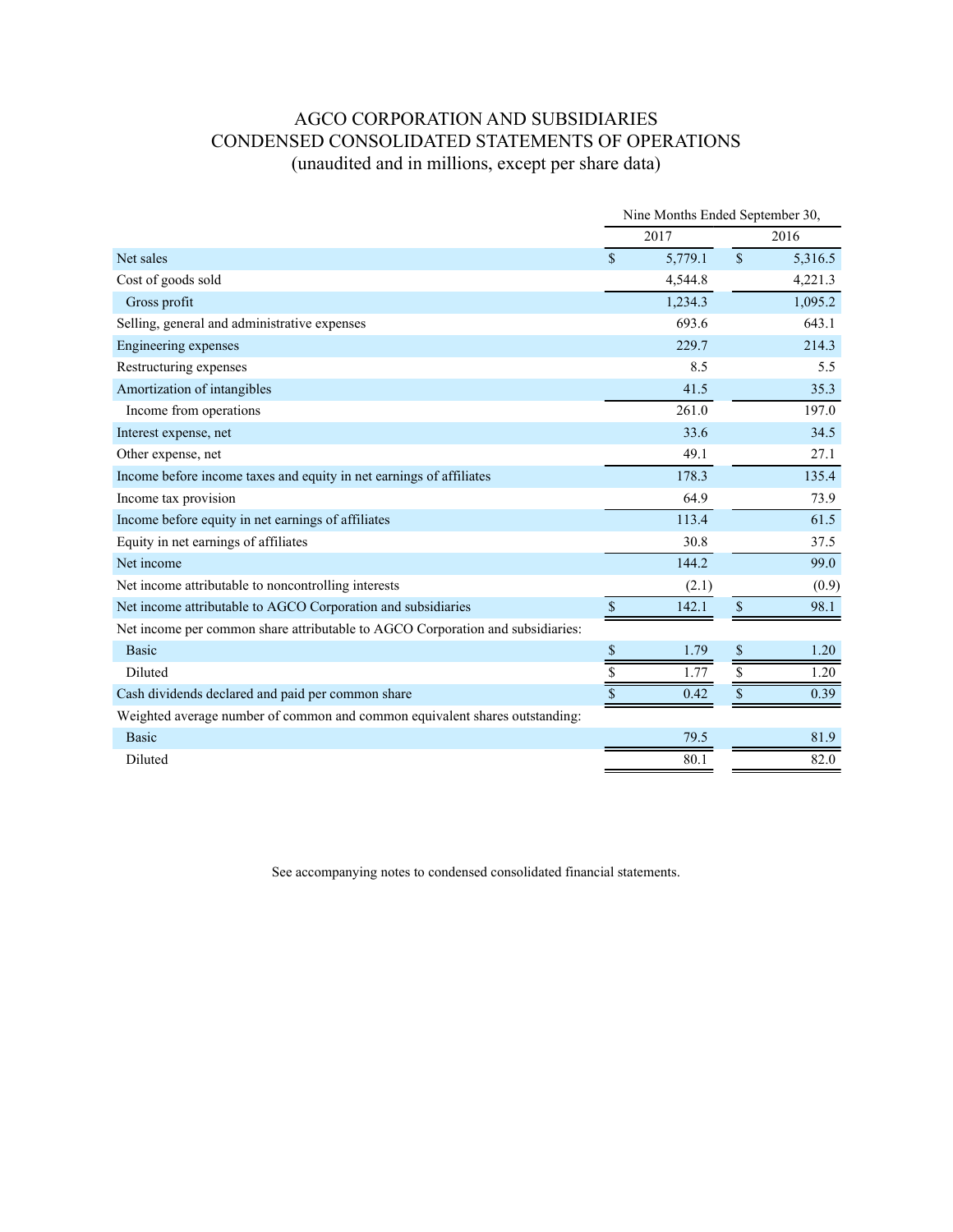# AGCO CORPORATION AND SUBSIDIARIES CONDENSED CONSOLIDATED STATEMENTS OF OPERATIONS (unaudited and in millions, except per share data)

|                                                                                | Nine Months Ended September 30, |         |                 |         |  |  |  |
|--------------------------------------------------------------------------------|---------------------------------|---------|-----------------|---------|--|--|--|
|                                                                                |                                 | 2017    |                 | 2016    |  |  |  |
| Net sales                                                                      | $\mathsf{\$}$                   | 5,779.1 | \$              | 5,316.5 |  |  |  |
| Cost of goods sold                                                             |                                 | 4,544.8 |                 | 4,221.3 |  |  |  |
| Gross profit                                                                   |                                 | 1,234.3 |                 | 1,095.2 |  |  |  |
| Selling, general and administrative expenses                                   |                                 | 693.6   |                 | 643.1   |  |  |  |
| Engineering expenses                                                           |                                 | 229.7   |                 | 214.3   |  |  |  |
| Restructuring expenses                                                         |                                 | 8.5     |                 | 5.5     |  |  |  |
| Amortization of intangibles                                                    |                                 | 41.5    |                 | 35.3    |  |  |  |
| Income from operations                                                         |                                 | 261.0   |                 | 197.0   |  |  |  |
| Interest expense, net                                                          |                                 | 33.6    |                 | 34.5    |  |  |  |
| Other expense, net                                                             |                                 | 49.1    |                 | 27.1    |  |  |  |
| Income before income taxes and equity in net earnings of affiliates            |                                 | 178.3   |                 | 135.4   |  |  |  |
| Income tax provision                                                           |                                 | 64.9    |                 | 73.9    |  |  |  |
| Income before equity in net earnings of affiliates                             |                                 | 113.4   |                 | 61.5    |  |  |  |
| Equity in net earnings of affiliates                                           |                                 | 30.8    |                 | 37.5    |  |  |  |
| Net income                                                                     |                                 | 144.2   |                 | 99.0    |  |  |  |
| Net income attributable to noncontrolling interests                            |                                 | (2.1)   |                 | (0.9)   |  |  |  |
| Net income attributable to AGCO Corporation and subsidiaries                   | \$                              | 142.1   | $\mathbb S$     | 98.1    |  |  |  |
| Net income per common share attributable to AGCO Corporation and subsidiaries: |                                 |         |                 |         |  |  |  |
| <b>Basic</b>                                                                   | \$                              | 1.79    | \$              | 1.20    |  |  |  |
| Diluted                                                                        | \$                              | 1.77    | $\overline{\$}$ | 1.20    |  |  |  |
| Cash dividends declared and paid per common share                              | \$                              | 0.42    | \$              | 0.39    |  |  |  |
| Weighted average number of common and common equivalent shares outstanding:    |                                 |         |                 |         |  |  |  |
| <b>Basic</b>                                                                   |                                 | 79.5    |                 | 81.9    |  |  |  |
| Diluted                                                                        |                                 | 80.1    |                 | 82.0    |  |  |  |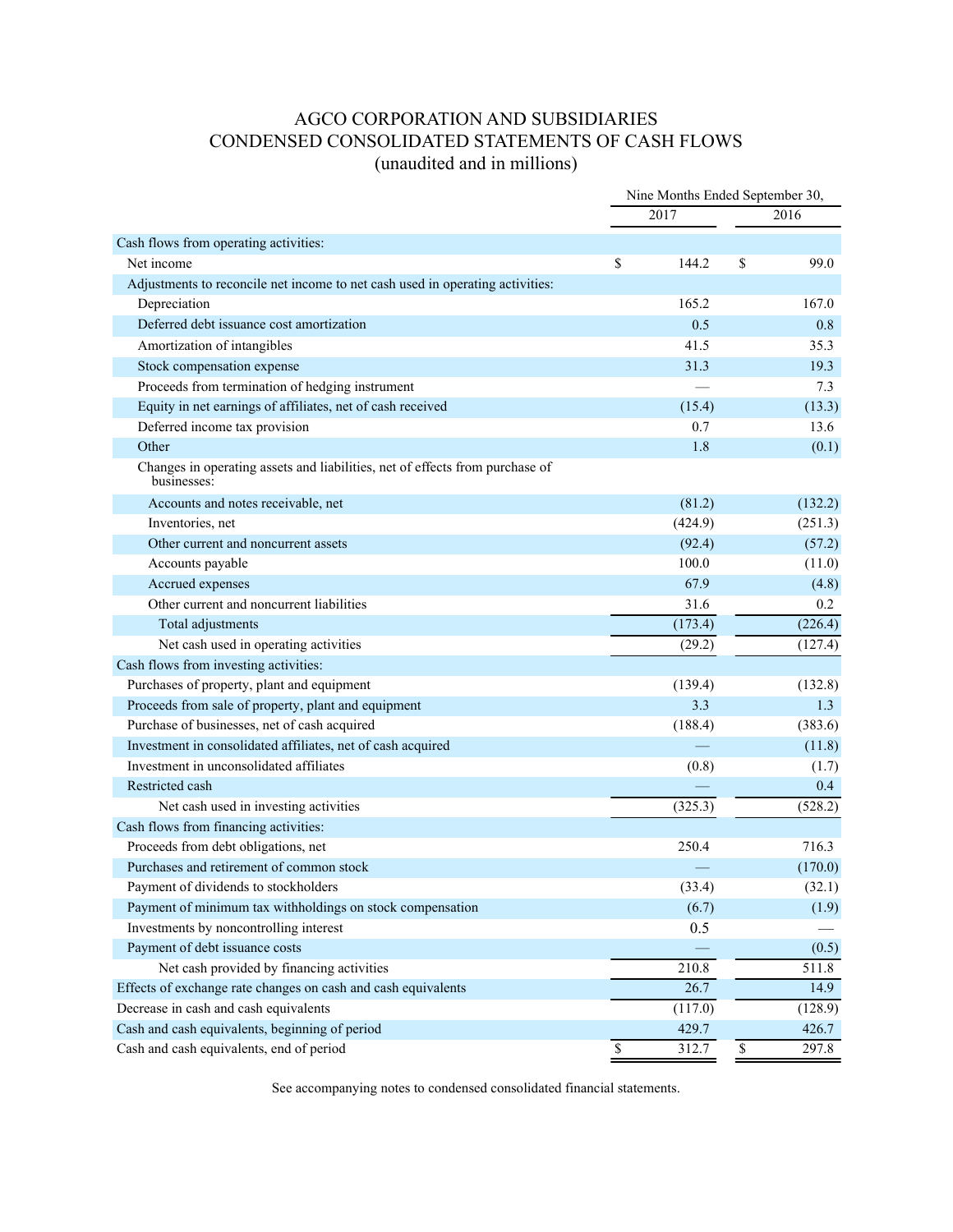# AGCO CORPORATION AND SUBSIDIARIES CONDENSED CONSOLIDATED STATEMENTS OF CASH FLOWS (unaudited and in millions)

|                                                                                             | Nine Months Ended September 30, |         |                          |         |  |
|---------------------------------------------------------------------------------------------|---------------------------------|---------|--------------------------|---------|--|
|                                                                                             |                                 | 2017    |                          | 2016    |  |
| Cash flows from operating activities:                                                       |                                 |         |                          |         |  |
| Net income                                                                                  | \$                              | 144.2   | \$                       | 99.0    |  |
| Adjustments to reconcile net income to net cash used in operating activities:               |                                 |         |                          |         |  |
| Depreciation                                                                                |                                 | 165.2   |                          | 167.0   |  |
| Deferred debt issuance cost amortization                                                    |                                 | 0.5     |                          | 0.8     |  |
| Amortization of intangibles                                                                 |                                 | 41.5    |                          | 35.3    |  |
| Stock compensation expense                                                                  |                                 | 31.3    |                          | 19.3    |  |
| Proceeds from termination of hedging instrument                                             |                                 |         |                          | 7.3     |  |
| Equity in net earnings of affiliates, net of cash received                                  |                                 | (15.4)  |                          | (13.3)  |  |
| Deferred income tax provision                                                               |                                 | 0.7     |                          | 13.6    |  |
| Other                                                                                       |                                 | 1.8     |                          | (0.1)   |  |
| Changes in operating assets and liabilities, net of effects from purchase of<br>businesses: |                                 |         |                          |         |  |
| Accounts and notes receivable, net                                                          |                                 | (81.2)  |                          | (132.2) |  |
| Inventories, net                                                                            |                                 | (424.9) |                          | (251.3) |  |
| Other current and noncurrent assets                                                         |                                 | (92.4)  |                          | (57.2)  |  |
| Accounts payable                                                                            |                                 | 100.0   |                          | (11.0)  |  |
| Accrued expenses                                                                            |                                 | 67.9    |                          | (4.8)   |  |
| Other current and noncurrent liabilities                                                    |                                 | 31.6    |                          | 0.2     |  |
| Total adjustments                                                                           |                                 | (173.4) |                          | (226.4) |  |
| Net cash used in operating activities                                                       |                                 | (29.2)  |                          | (127.4) |  |
| Cash flows from investing activities:                                                       |                                 |         |                          |         |  |
| Purchases of property, plant and equipment                                                  |                                 | (139.4) |                          | (132.8) |  |
| Proceeds from sale of property, plant and equipment                                         |                                 | 3.3     |                          | 1.3     |  |
| Purchase of businesses, net of cash acquired                                                |                                 | (188.4) |                          | (383.6) |  |
| Investment in consolidated affiliates, net of cash acquired                                 |                                 |         |                          | (11.8)  |  |
| Investment in unconsolidated affiliates                                                     |                                 | (0.8)   |                          | (1.7)   |  |
| Restricted cash                                                                             |                                 |         |                          | 0.4     |  |
| Net cash used in investing activities                                                       |                                 | (325.3) |                          | (528.2) |  |
| Cash flows from financing activities:                                                       |                                 |         |                          |         |  |
| Proceeds from debt obligations, net                                                         |                                 | 250.4   |                          | 716.3   |  |
| Purchases and retirement of common stock                                                    |                                 |         |                          | (170.0) |  |
| Payment of dividends to stockholders                                                        |                                 | (33.4)  |                          | (32.1)  |  |
| Payment of minimum tax withholdings on stock compensation                                   |                                 | (6.7)   |                          | (1.9)   |  |
| Investments by noncontrolling interest                                                      |                                 | 0.5     |                          |         |  |
| Payment of debt issuance costs                                                              |                                 |         |                          | (0.5)   |  |
| Net cash provided by financing activities                                                   |                                 | 210.8   |                          | 511.8   |  |
| Effects of exchange rate changes on cash and cash equivalents                               |                                 | 26.7    |                          | 14.9    |  |
| Decrease in cash and cash equivalents                                                       |                                 | (117.0) |                          | (128.9) |  |
| Cash and cash equivalents, beginning of period                                              |                                 | 429.7   |                          | 426.7   |  |
| Cash and cash equivalents, end of period                                                    | $\overline{\mathbb{S}}$         | 312.7   | $\overline{\mathcal{S}}$ | 297.8   |  |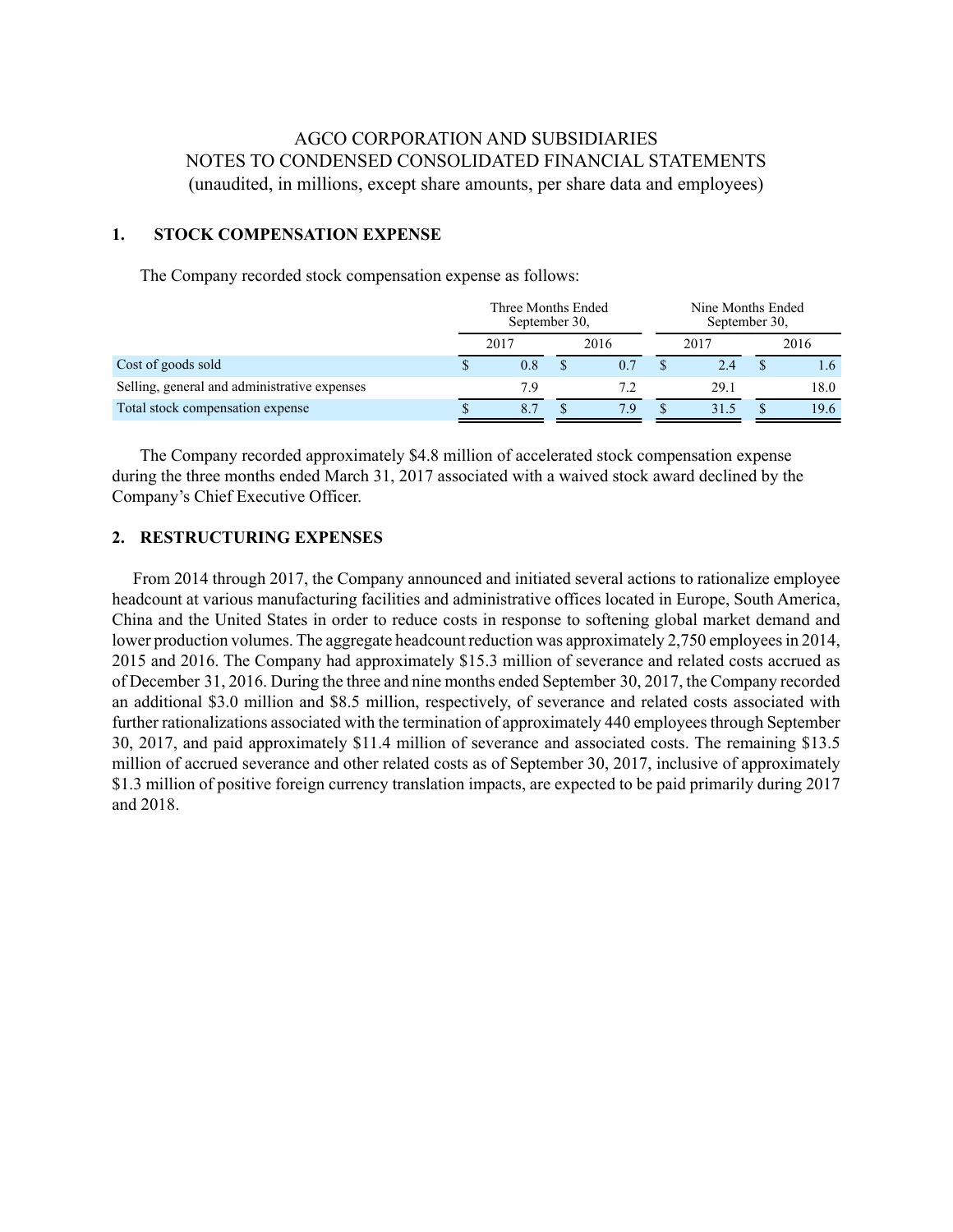# AGCO CORPORATION AND SUBSIDIARIES NOTES TO CONDENSED CONSOLIDATED FINANCIAL STATEMENTS (unaudited, in millions, except share amounts, per share data and employees)

## **1. STOCK COMPENSATION EXPENSE**

The Company recorded stock compensation expense as follows:

|                                              |      | Three Months Ended<br>September 30, |  |      | Nine Months Ended<br>September 30, |      |  |      |  |
|----------------------------------------------|------|-------------------------------------|--|------|------------------------------------|------|--|------|--|
|                                              | 2017 |                                     |  | 2016 |                                    | 2017 |  | 2016 |  |
| Cost of goods sold                           |      | 0.8                                 |  | 0.7  |                                    | 2.4  |  | 1.6  |  |
| Selling, general and administrative expenses |      | 7 Q                                 |  | 79   |                                    | 29.1 |  | 18.0 |  |
| Total stock compensation expense             |      | 8.7                                 |  | 79   |                                    | 31.5 |  | 19.6 |  |

The Company recorded approximately \$4.8 million of accelerated stock compensation expense during the three months ended March 31, 2017 associated with a waived stock award declined by the Company's Chief Executive Officer.

### **2. RESTRUCTURING EXPENSES**

From 2014 through 2017, the Company announced and initiated several actions to rationalize employee headcount at various manufacturing facilities and administrative offices located in Europe, South America, China and the United States in order to reduce costs in response to softening global market demand and lower production volumes. The aggregate headcount reduction was approximately 2,750 employees in 2014, 2015 and 2016. The Company had approximately \$15.3 million of severance and related costs accrued as of December 31, 2016. During the three and nine months ended September 30, 2017, the Company recorded an additional \$3.0 million and \$8.5 million, respectively, of severance and related costs associated with further rationalizations associated with the termination of approximately 440 employees through September 30, 2017, and paid approximately \$11.4 million of severance and associated costs. The remaining \$13.5 million of accrued severance and other related costs as of September 30, 2017, inclusive of approximately \$1.3 million of positive foreign currency translation impacts, are expected to be paid primarily during 2017 and 2018.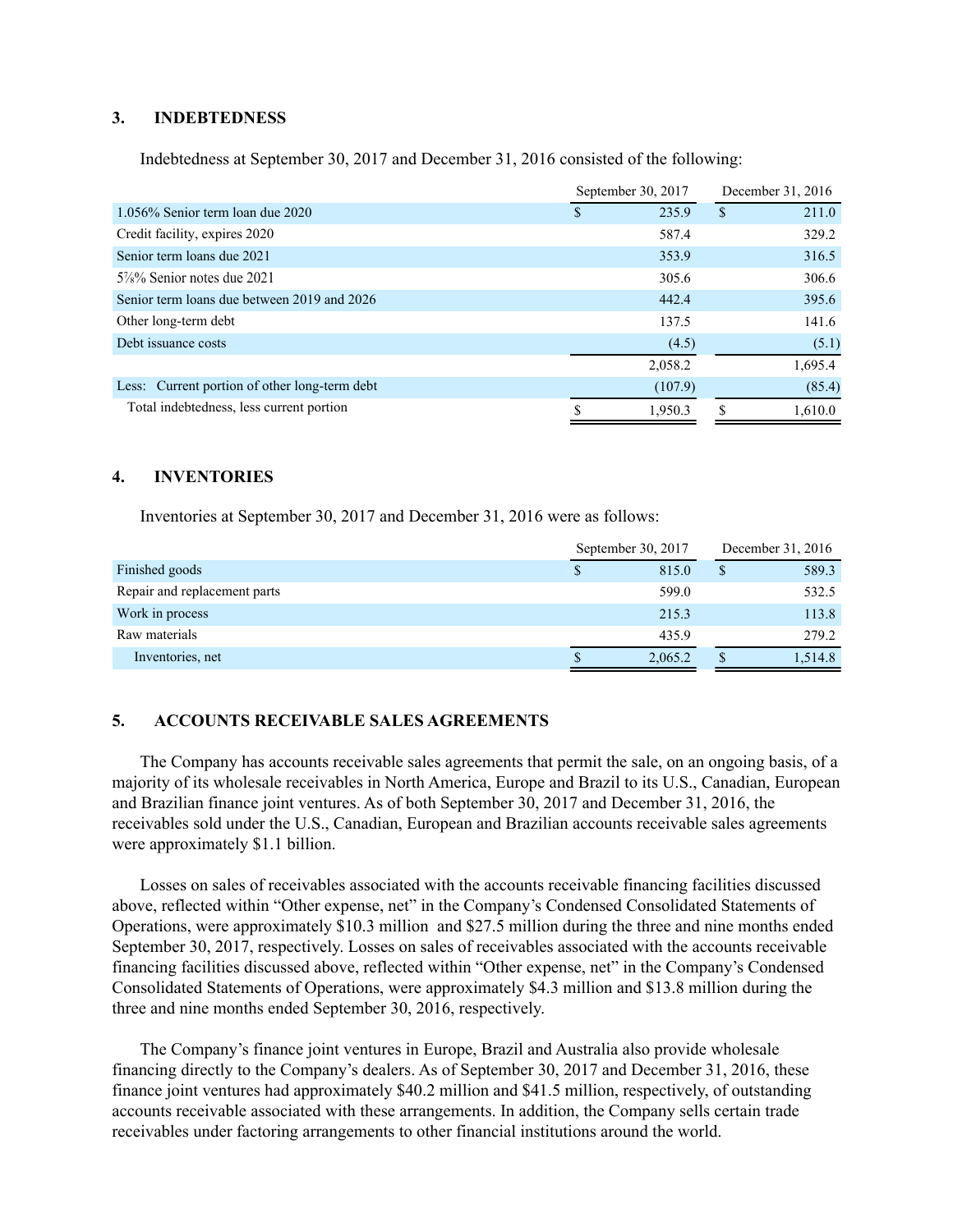#### **3. INDEBTEDNESS**

Indebtedness at September 30, 2017 and December 31, 2016 consisted of the following:

|                                               | September 30, 2017 |         |    |         |
|-----------------------------------------------|--------------------|---------|----|---------|
| $1.056\%$ Senior term loan due 2020           | S                  | 235.9   | \$ | 211.0   |
| Credit facility, expires 2020                 |                    | 587.4   |    | 329.2   |
| Senior term loans due 2021                    |                    | 353.9   |    | 316.5   |
| $5\frac{7}{8}$ % Senior notes due 2021        |                    | 305.6   |    | 306.6   |
| Senior term loans due between 2019 and 2026   |                    | 442.4   |    | 395.6   |
| Other long-term debt                          |                    | 137.5   |    | 141.6   |
| Debt issuance costs                           |                    | (4.5)   |    | (5.1)   |
|                                               |                    | 2,058.2 |    | 1,695.4 |
| Less: Current portion of other long-term debt |                    | (107.9) |    | (85.4)  |
| Total indebtedness, less current portion      |                    | 1.950.3 | S  | 1,610.0 |

#### **4. INVENTORIES**

Inventories at September 30, 2017 and December 31, 2016 were as follows:

|                              | September 30, 2017 |         | December 31, 2016 |         |  |
|------------------------------|--------------------|---------|-------------------|---------|--|
| Finished goods               |                    | 815.0   | S                 | 589.3   |  |
| Repair and replacement parts |                    | 599.0   |                   | 532.5   |  |
| Work in process              |                    | 215.3   |                   | 113.8   |  |
| Raw materials                |                    | 435.9   |                   | 279.2   |  |
| Inventories, net             |                    | 2,065.2 |                   | 1,514.8 |  |

## **5. ACCOUNTS RECEIVABLE SALES AGREEMENTS**

The Company has accounts receivable sales agreements that permit the sale, on an ongoing basis, of a majority of its wholesale receivables in North America, Europe and Brazil to its U.S., Canadian, European and Brazilian finance joint ventures. As of both September 30, 2017 and December 31, 2016, the receivables sold under the U.S., Canadian, European and Brazilian accounts receivable sales agreements were approximately \$1.1 billion.

Losses on sales of receivables associated with the accounts receivable financing facilities discussed above, reflected within "Other expense, net" in the Company's Condensed Consolidated Statements of Operations, were approximately \$10.3 million and \$27.5 million during the three and nine months ended September 30, 2017, respectively. Losses on sales of receivables associated with the accounts receivable financing facilities discussed above, reflected within "Other expense, net" in the Company's Condensed Consolidated Statements of Operations, were approximately \$4.3 million and \$13.8 million during the three and nine months ended September 30, 2016, respectively.

The Company's finance joint ventures in Europe, Brazil and Australia also provide wholesale financing directly to the Company's dealers. As of September 30, 2017 and December 31, 2016, these finance joint ventures had approximately \$40.2 million and \$41.5 million, respectively, of outstanding accounts receivable associated with these arrangements. In addition, the Company sells certain trade receivables under factoring arrangements to other financial institutions around the world.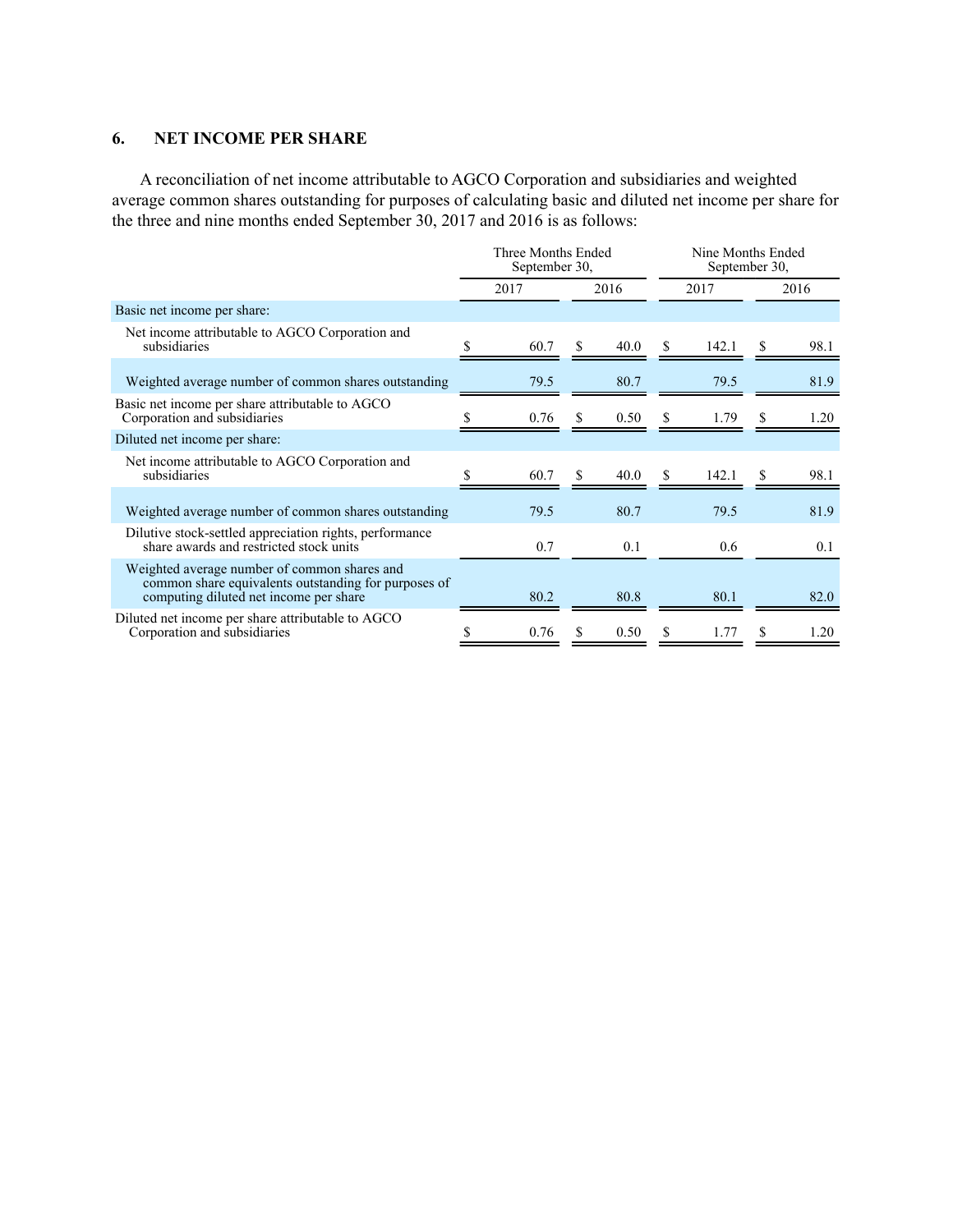## **6. NET INCOME PER SHARE**

A reconciliation of net income attributable to AGCO Corporation and subsidiaries and weighted average common shares outstanding for purposes of calculating basic and diluted net income per share for the three and nine months ended September 30, 2017 and 2016 is as follows:

|                                                                                                                                                | Three Months Ended<br>September 30, |      |    | Nine Months Ended<br>September 30, |      |       |   |      |
|------------------------------------------------------------------------------------------------------------------------------------------------|-------------------------------------|------|----|------------------------------------|------|-------|---|------|
|                                                                                                                                                |                                     | 2017 |    | 2016                               | 2017 |       |   | 2016 |
| Basic net income per share:                                                                                                                    |                                     |      |    |                                    |      |       |   |      |
| Net income attributable to AGCO Corporation and<br>subsidiaries                                                                                |                                     | 60.7 | \$ | 40.0                               | S    | 142.1 |   | 98.1 |
| Weighted average number of common shares outstanding                                                                                           |                                     | 79.5 |    | 80.7                               |      | 79.5  |   | 81.9 |
| Basic net income per share attributable to AGCO<br>Corporation and subsidiaries                                                                | \$                                  | 0.76 | S  | 0.50                               | S    | 1.79  |   | 1.20 |
| Diluted net income per share:                                                                                                                  |                                     |      |    |                                    |      |       |   |      |
| Net income attributable to AGCO Corporation and<br>subsidiaries                                                                                |                                     | 60.7 | \$ | 40.0                               | £.   | 142.1 |   | 98.1 |
| Weighted average number of common shares outstanding                                                                                           |                                     | 79.5 |    | 80.7                               |      | 79.5  |   | 81.9 |
| Dilutive stock-settled appreciation rights, performance<br>share awards and restricted stock units                                             |                                     | 0.7  |    | 0.1                                |      | 0.6   |   | 0.1  |
| Weighted average number of common shares and<br>common share equivalents outstanding for purposes of<br>computing diluted net income per share |                                     | 80.2 |    | 80.8                               |      | 80.1  |   | 82.0 |
| Diluted net income per share attributable to AGCO<br>Corporation and subsidiaries                                                              | \$                                  | 0.76 | S  | 0.50                               | S    | 1.77  | S | 1.20 |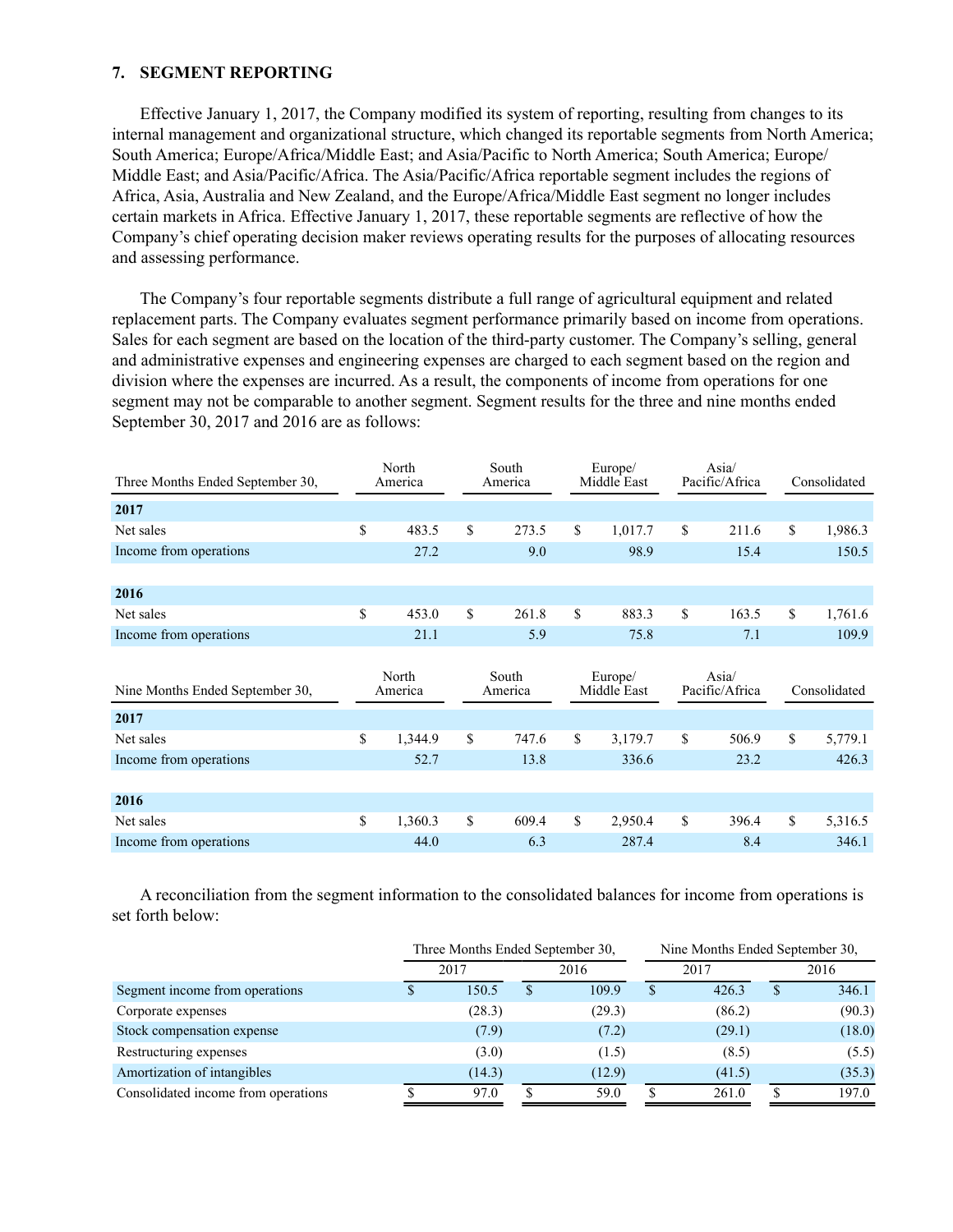#### **7. SEGMENT REPORTING**

Effective January 1, 2017, the Company modified its system of reporting, resulting from changes to its internal management and organizational structure, which changed its reportable segments from North America; South America; Europe/Africa/Middle East; and Asia/Pacific to North America; South America; Europe/ Middle East; and Asia/Pacific/Africa. The Asia/Pacific/Africa reportable segment includes the regions of Africa, Asia, Australia and New Zealand, and the Europe/Africa/Middle East segment no longer includes certain markets in Africa. Effective January 1, 2017, these reportable segments are reflective of how the Company's chief operating decision maker reviews operating results for the purposes of allocating resources and assessing performance.

The Company's four reportable segments distribute a full range of agricultural equipment and related replacement parts. The Company evaluates segment performance primarily based on income from operations. Sales for each segment are based on the location of the third-party customer. The Company's selling, general and administrative expenses and engineering expenses are charged to each segment based on the region and division where the expenses are incurred. As a result, the components of income from operations for one segment may not be comparable to another segment. Segment results for the three and nine months ended September 30, 2017 and 2016 are as follows:

| Three Months Ended September 30, | North<br>America |    | South<br>America |                        | Europe/<br>Middle East |    | Asia/<br>Pacific/Africa |    | Consolidated |  |
|----------------------------------|------------------|----|------------------|------------------------|------------------------|----|-------------------------|----|--------------|--|
| 2017                             |                  |    |                  |                        |                        |    |                         |    |              |  |
| Net sales                        | \$<br>483.5      | \$ | 273.5            | \$                     | 1,017.7                | \$ | 211.6                   | \$ | 1,986.3      |  |
| Income from operations           | 27.2             |    | 9.0              |                        | 98.9                   |    | 15.4                    |    | 150.5        |  |
|                                  |                  |    |                  |                        |                        |    |                         |    |              |  |
| 2016                             |                  |    |                  |                        |                        |    |                         |    |              |  |
| Net sales                        | \$<br>453.0      | \$ | 261.8            | \$                     | 883.3                  | \$ | 163.5                   | \$ | 1,761.6      |  |
| Income from operations           | 21.1             |    | 5.9              |                        | 75.8                   |    | 7.1                     |    | 109.9        |  |
| Nine Months Ended September 30,  | North<br>America |    | South<br>America | Europe/<br>Middle East |                        |    | Asia/<br>Pacific/Africa |    | Consolidated |  |
| 2017                             |                  |    |                  |                        |                        |    |                         |    |              |  |
| Net sales                        | \$<br>1,344.9    | \$ | 747.6            | \$                     | 3,179.7                | \$ | 506.9                   | \$ | 5,779.1      |  |
| Income from operations           | 52.7             |    | 13.8             |                        | 336.6                  |    | 23.2                    |    | 426.3        |  |
|                                  |                  |    |                  |                        |                        |    |                         |    |              |  |
| 2016                             |                  |    |                  |                        |                        |    |                         |    |              |  |
| Net sales                        | \$<br>1,360.3    | \$ | 609.4            | \$                     | 2,950.4                | \$ | 396.4                   | \$ | 5,316.5      |  |
| Income from operations           | 44.0             |    | 6.3              |                        | 287.4                  |    | 8.4                     |    | 346.1        |  |

A reconciliation from the segment information to the consolidated balances for income from operations is set forth below:

|                                     | Three Months Ended September 30, |        |  |        |  | Nine Months Ended September 30, |      |        |  |  |
|-------------------------------------|----------------------------------|--------|--|--------|--|---------------------------------|------|--------|--|--|
|                                     |                                  | 2017   |  | 2016   |  | 2017                            | 2016 |        |  |  |
| Segment income from operations      |                                  | 150.5  |  | 109.9  |  | 426.3                           |      | 346.1  |  |  |
| Corporate expenses                  |                                  | (28.3) |  | (29.3) |  | (86.2)                          |      | (90.3) |  |  |
| Stock compensation expense          |                                  | (7.9)  |  | (7.2)  |  | (29.1)                          |      | (18.0) |  |  |
| Restructuring expenses              |                                  | (3.0)  |  | (1.5)  |  | (8.5)                           |      | (5.5)  |  |  |
| Amortization of intangibles         |                                  | (14.3) |  | (12.9) |  | (41.5)                          |      | (35.3) |  |  |
| Consolidated income from operations |                                  | 97.0   |  | 59.0   |  | 261.0                           |      | 197.0  |  |  |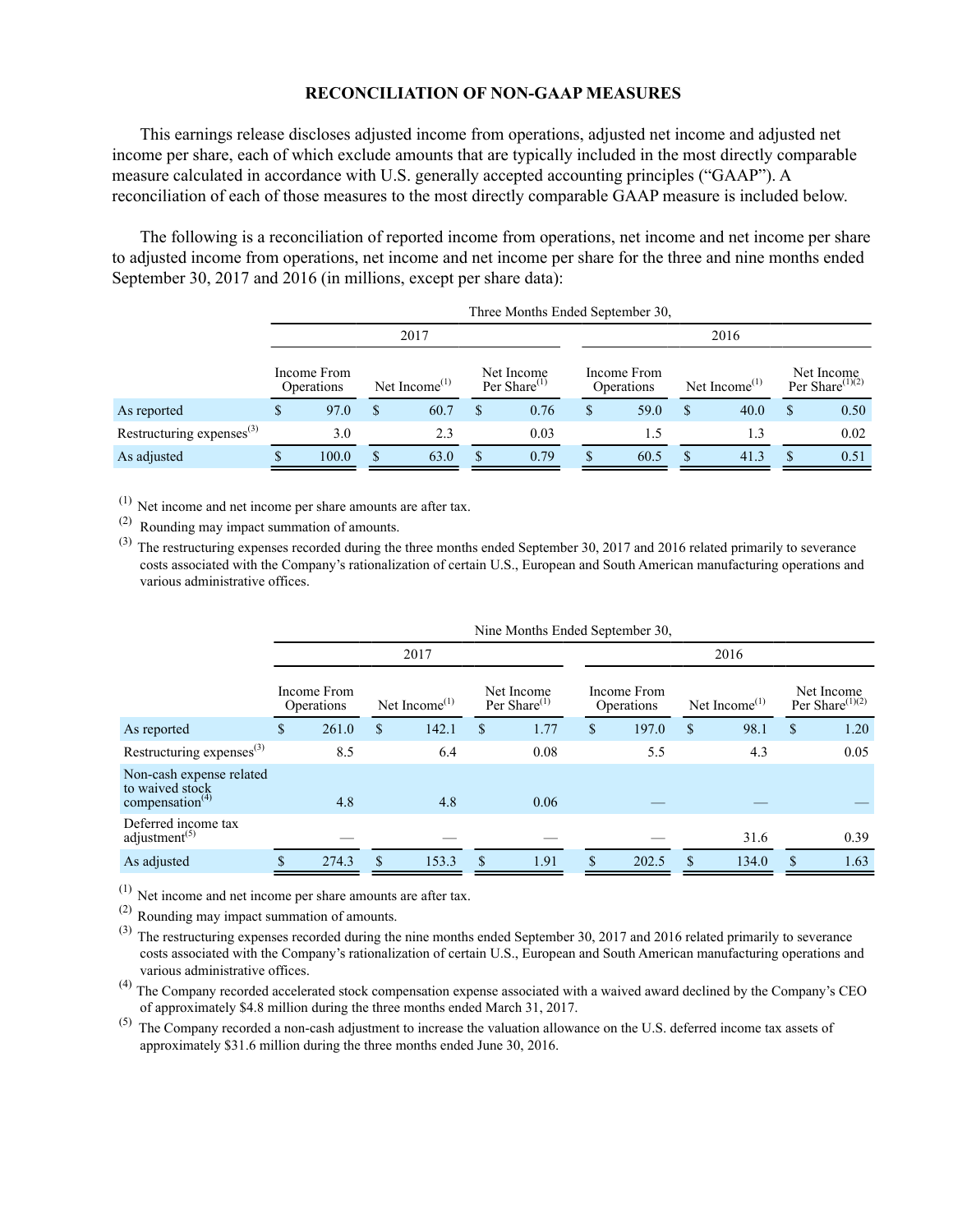#### **RECONCILIATION OF NON-GAAP MEASURES**

This earnings release discloses adjusted income from operations, adjusted net income and adjusted net income per share, each of which exclude amounts that are typically included in the most directly comparable measure calculated in accordance with U.S. generally accepted accounting principles ("GAAP"). A reconciliation of each of those measures to the most directly comparable GAAP measure is included below.

The following is a reconciliation of reported income from operations, net income and net income per share to adjusted income from operations, net income and net income per share for the three and nine months ended September 30, 2017 and 2016 (in millions, except per share data):

|                                 | Three Months Ended September 30. |                           |   |                                        |                               |      |   |                           |   |                     |   |                                  |  |
|---------------------------------|----------------------------------|---------------------------|---|----------------------------------------|-------------------------------|------|---|---------------------------|---|---------------------|---|----------------------------------|--|
|                                 | 2017                             |                           |   |                                        |                               | 2016 |   |                           |   |                     |   |                                  |  |
|                                 |                                  | Income From<br>Operations |   | Net Income <sup><math>(1)</math></sup> | Net Income<br>Per Share $(1)$ |      |   | Income From<br>Operations |   | Net Income $^{(1)}$ |   | Net Income<br>Per Share $(1)(2)$ |  |
| As reported                     | \$                               | 97.0                      | S | 60.7                                   | \$                            | 0.76 | S | 59.0                      | S | 40.0                | S | 0.50                             |  |
| Restructuring expenses $^{(3)}$ |                                  | 3.0                       |   | 2.3                                    |                               | 0.03 |   | 1.5                       |   | 1.3                 |   | 0.02                             |  |
| As adjusted                     |                                  | 100.0                     |   | 63.0                                   | S                             | 0.79 |   | 60.5                      |   | 41.3                |   | 0.51                             |  |

 $(1)$  Net income and net income per share amounts are after tax.

(2) Rounding may impact summation of amounts.

The restructuring expenses recorded during the three months ended September 30, 2017 and 2016 related primarily to severance costs associated with the Company's rationalization of certain U.S., European and South American manufacturing operations and various administrative offices.

|                                                                   | Nine Months Ended September 30, |                           |    |                  |    |                               |      |                           |     |                  |          |                                                        |  |
|-------------------------------------------------------------------|---------------------------------|---------------------------|----|------------------|----|-------------------------------|------|---------------------------|-----|------------------|----------|--------------------------------------------------------|--|
|                                                                   | 2017                            |                           |    |                  |    |                               | 2016 |                           |     |                  |          |                                                        |  |
|                                                                   |                                 | Income From<br>Operations |    | Net Income $(1)$ |    | Net Income<br>Per Share $(1)$ |      | Income From<br>Operations |     | Net Income $(1)$ |          | Net Income<br>Per Share <sup><math>(1)(2)</math></sup> |  |
| As reported                                                       | \$                              | 261.0                     | S  | 142.1            | \$ | 1.77                          | \$   | 197.0                     | \$. | 98.1             | S        | 1.20                                                   |  |
| Restructuring expenses $^{(3)}$                                   |                                 | 8.5                       |    | 6.4              |    | 0.08                          |      | 5.5                       |     | 4.3              |          | 0.05                                                   |  |
| Non-cash expense related<br>to waived stock<br>compensation $(4)$ |                                 | 4.8                       |    | 4.8              |    | 0.06                          |      |                           |     |                  |          |                                                        |  |
| Deferred income tax<br>adjustment <sup><math>(5)</math></sup>     |                                 |                           |    |                  |    |                               |      |                           |     | 31.6             |          | 0.39                                                   |  |
| As adjusted                                                       |                                 | 274.3                     | \$ | 153.3            | \$ | 1.91                          | \$.  | 202.5                     | \$  | 134.0            | <b>S</b> | 1.63                                                   |  |

 $(1)$  Net income and net income per share amounts are after tax.

(2) Rounding may impact summation of amounts.

(3)The restructuring expenses recorded during the nine months ended September 30, 2017 and 2016 related primarily to severance costs associated with the Company's rationalization of certain U.S., European and South American manufacturing operations and various administrative offices.

 $^{(4)}$  The Company recorded accelerated stock compensation expense associated with a waived award declined by the Company's CEO of approximately \$4.8 million during the three months ended March 31, 2017.

 $(5)$  The Company recorded a non-cash adjustment to increase the valuation allowance on the U.S. deferred income tax assets of approximately \$31.6 million during the three months ended June 30, 2016.